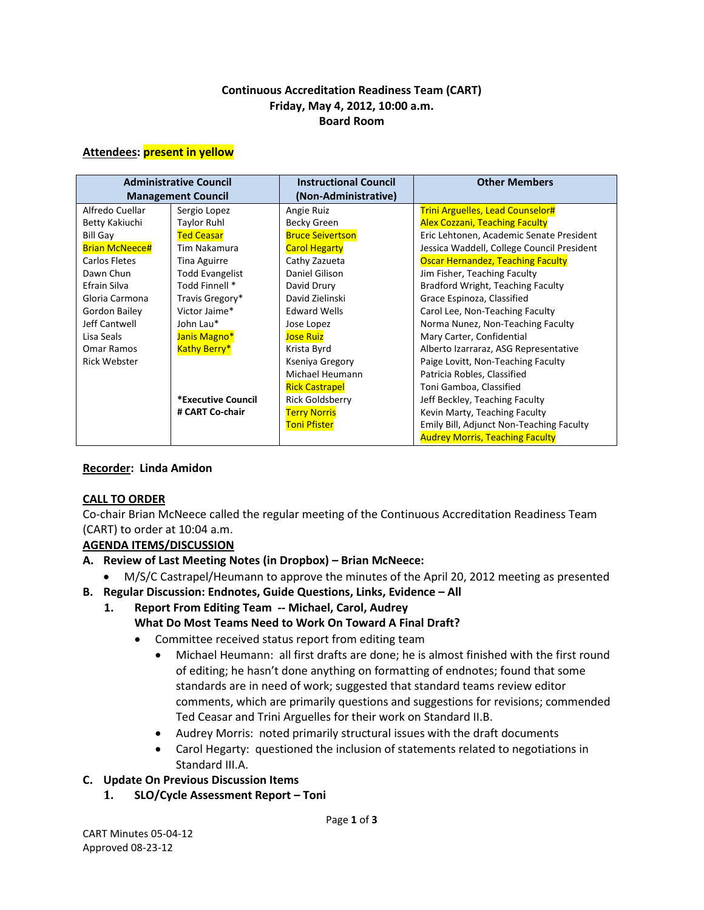### **Continuous Accreditation Readiness Team (CART) Friday, May 4, 2012, 10:00 a.m. Board Room**

#### **Attendees: present in yellow**

| <b>Administrative Council</b> |                        | <b>Instructional Council</b> | <b>Other Members</b>                       |
|-------------------------------|------------------------|------------------------------|--------------------------------------------|
| <b>Management Council</b>     |                        | (Non-Administrative)         |                                            |
| Alfredo Cuellar               | Sergio Lopez           | Angie Ruiz                   | <b>Trini Arguelles, Lead Counselor#</b>    |
| Betty Kakiuchi                | <b>Taylor Ruhl</b>     | Becky Green                  | <b>Alex Cozzani, Teaching Faculty</b>      |
| <b>Bill Gay</b>               | <b>Ted Ceasar</b>      | <b>Bruce Seivertson</b>      | Eric Lehtonen, Academic Senate President   |
| <b>Brian McNeece#</b>         | Tim Nakamura           | <b>Carol Hegarty</b>         | Jessica Waddell, College Council President |
| <b>Carlos Fletes</b>          | <b>Tina Aguirre</b>    | Cathy Zazueta                | <b>Oscar Hernandez, Teaching Faculty</b>   |
| Dawn Chun                     | <b>Todd Evangelist</b> | Daniel Gilison               | Jim Fisher, Teaching Faculty               |
| Efrain Silva                  | Todd Finnell *         | David Drury                  | Bradford Wright, Teaching Faculty          |
| Gloria Carmona                | Travis Gregory*        | David Zielinski              | Grace Espinoza, Classified                 |
| Gordon Bailey                 | Victor Jaime*          | <b>Edward Wells</b>          | Carol Lee, Non-Teaching Faculty            |
| Jeff Cantwell                 | John Lau*              | Jose Lopez                   | Norma Nunez, Non-Teaching Faculty          |
| Lisa Seals                    | Janis Magno*           | <b>Jose Ruiz</b>             | Mary Carter, Confidential                  |
| Omar Ramos                    | <b>Kathy Berry*</b>    | Krista Byrd                  | Alberto Izarraraz, ASG Representative      |
| <b>Rick Webster</b>           |                        | Kseniya Gregory              | Paige Lovitt, Non-Teaching Faculty         |
|                               |                        | Michael Heumann              | Patricia Robles, Classified                |
|                               |                        | <b>Rick Castrapel</b>        | Toni Gamboa, Classified                    |
|                               | *Executive Council     | <b>Rick Goldsberry</b>       | Jeff Beckley, Teaching Faculty             |
|                               | # CART Co-chair        | <b>Terry Norris</b>          | Kevin Marty, Teaching Faculty              |
|                               |                        | <b>Toni Pfister</b>          | Emily Bill, Adjunct Non-Teaching Faculty   |
|                               |                        |                              | <b>Audrey Morris, Teaching Faculty</b>     |

### **Recorder: Linda Amidon**

### **CALL TO ORDER**

Co-chair Brian McNeece called the regular meeting of the Continuous Accreditation Readiness Team (CART) to order at 10:04 a.m.

### **AGENDA ITEMS/DISCUSSION**

- **A. Review of Last Meeting Notes (in Dropbox) – Brian McNeece:**
	- M/S/C Castrapel/Heumann to approve the minutes of the April 20, 2012 meeting as presented
- **B. Regular Discussion: Endnotes, Guide Questions, Links, Evidence – All** 
	- **1. Report From Editing Team -- Michael, Carol, Audrey**
		- **What Do Most Teams Need to Work On Toward A Final Draft?** 
			- Committee received status report from editing team
				- Michael Heumann: all first drafts are done; he is almost finished with the first round of editing; he hasn't done anything on formatting of endnotes; found that some standards are in need of work; suggested that standard teams review editor comments, which are primarily questions and suggestions for revisions; commended Ted Ceasar and Trini Arguelles for their work on Standard II.B.
				- Audrey Morris: noted primarily structural issues with the draft documents
				- Carol Hegarty: questioned the inclusion of statements related to negotiations in Standard III.A.

### **C. Update On Previous Discussion Items**

**1. SLO/Cycle Assessment Report – Toni**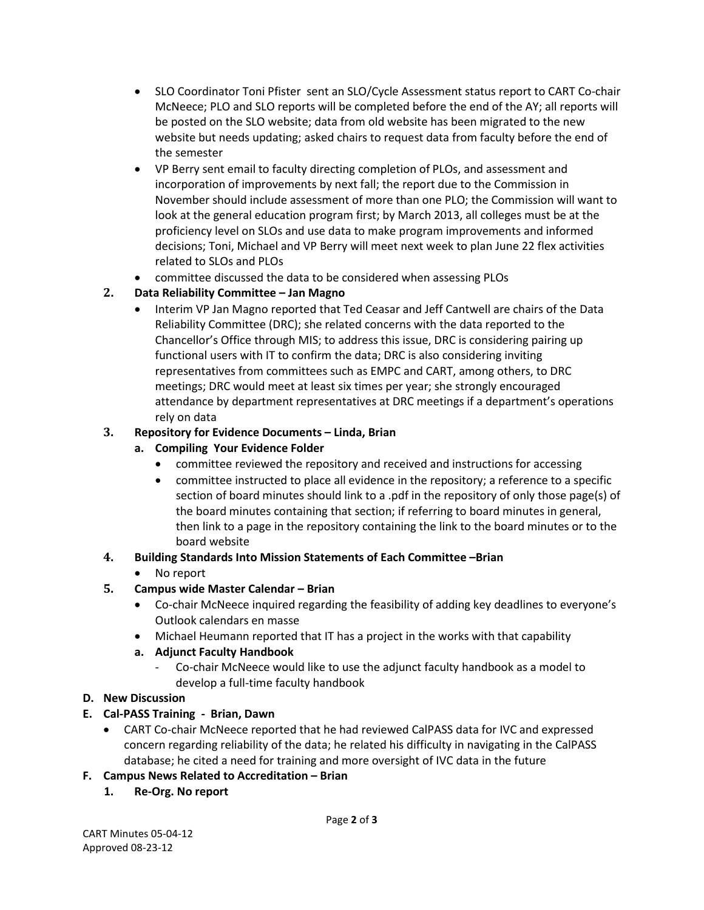- SLO Coordinator Toni Pfister sent an SLO/Cycle Assessment status report to CART Co-chair McNeece; PLO and SLO reports will be completed before the end of the AY; all reports will be posted on the SLO website; data from old website has been migrated to the new website but needs updating; asked chairs to request data from faculty before the end of the semester
- VP Berry sent email to faculty directing completion of PLOs, and assessment and incorporation of improvements by next fall; the report due to the Commission in November should include assessment of more than one PLO; the Commission will want to look at the general education program first; by March 2013, all colleges must be at the proficiency level on SLOs and use data to make program improvements and informed decisions; Toni, Michael and VP Berry will meet next week to plan June 22 flex activities related to SLOs and PLOs
- committee discussed the data to be considered when assessing PLOs

# **2. Data Reliability Committee – Jan Magno**

• Interim VP Jan Magno reported that Ted Ceasar and Jeff Cantwell are chairs of the Data Reliability Committee (DRC); she related concerns with the data reported to the Chancellor's Office through MIS; to address this issue, DRC is considering pairing up functional users with IT to confirm the data; DRC is also considering inviting representatives from committees such as EMPC and CART, among others, to DRC meetings; DRC would meet at least six times per year; she strongly encouraged attendance by department representatives at DRC meetings if a department's operations rely on data

# **3. Repository for Evidence Documents – Linda, Brian**

## **a. Compiling Your Evidence Folder**

- committee reviewed the repository and received and instructions for accessing
- committee instructed to place all evidence in the repository; a reference to a specific section of board minutes should link to a .pdf in the repository of only those page(s) of the board minutes containing that section; if referring to board minutes in general, then link to a page in the repository containing the link to the board minutes or to the board website

### **4. Building Standards Into Mission Statements of Each Committee –Brian**

• No report

# **5. Campus wide Master Calendar – Brian**

- Co-chair McNeece inquired regarding the feasibility of adding key deadlines to everyone's Outlook calendars en masse
- Michael Heumann reported that IT has a project in the works with that capability

# **a. Adjunct Faculty Handbook**

- Co-chair McNeece would like to use the adjunct faculty handbook as a model to develop a full-time faculty handbook

# **D. New Discussion**

# **E. Cal-PASS Training - Brian, Dawn**

• CART Co-chair McNeece reported that he had reviewed CalPASS data for IVC and expressed concern regarding reliability of the data; he related his difficulty in navigating in the CalPASS database; he cited a need for training and more oversight of IVC data in the future

### **F. Campus News Related to Accreditation – Brian**

**1. Re-Org. No report**